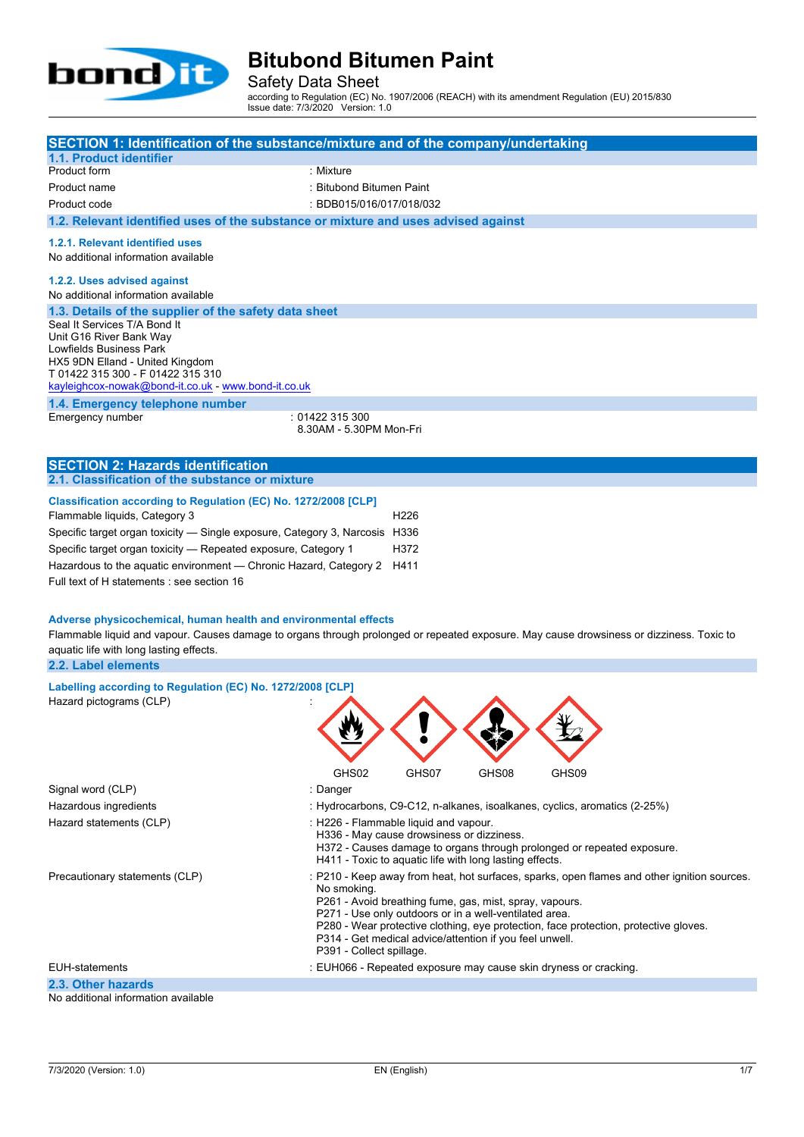

Safety Data Sheet

according to Regulation (EC) No. 1907/2006 (REACH) with its amendment Regulation (EU) 2015/830 Issue date: 7/3/2020 Version: 1.0

| SECTION 1: Identification of the substance/mixture and of the company/undertaking                                                                                                                                                                      |                                            |                                                                                                                   |       |                                                                                                                                                                                     |  |
|--------------------------------------------------------------------------------------------------------------------------------------------------------------------------------------------------------------------------------------------------------|--------------------------------------------|-------------------------------------------------------------------------------------------------------------------|-------|-------------------------------------------------------------------------------------------------------------------------------------------------------------------------------------|--|
| 1.1. Product identifier<br>Product form                                                                                                                                                                                                                | : Mixture                                  |                                                                                                                   |       |                                                                                                                                                                                     |  |
| Product name                                                                                                                                                                                                                                           | : Bitubond Bitumen Paint                   |                                                                                                                   |       |                                                                                                                                                                                     |  |
|                                                                                                                                                                                                                                                        |                                            |                                                                                                                   |       |                                                                                                                                                                                     |  |
| Product code                                                                                                                                                                                                                                           | : BDB015/016/017/018/032                   |                                                                                                                   |       |                                                                                                                                                                                     |  |
| 1.2. Relevant identified uses of the substance or mixture and uses advised against                                                                                                                                                                     |                                            |                                                                                                                   |       |                                                                                                                                                                                     |  |
| 1.2.1. Relevant identified uses<br>No additional information available                                                                                                                                                                                 |                                            |                                                                                                                   |       |                                                                                                                                                                                     |  |
| 1.2.2. Uses advised against                                                                                                                                                                                                                            |                                            |                                                                                                                   |       |                                                                                                                                                                                     |  |
| No additional information available                                                                                                                                                                                                                    |                                            |                                                                                                                   |       |                                                                                                                                                                                     |  |
| 1.3. Details of the supplier of the safety data sheet                                                                                                                                                                                                  |                                            |                                                                                                                   |       |                                                                                                                                                                                     |  |
| Seal It Services T/A Bond It                                                                                                                                                                                                                           |                                            |                                                                                                                   |       |                                                                                                                                                                                     |  |
| Unit G16 River Bank Way<br>Lowfields Business Park                                                                                                                                                                                                     |                                            |                                                                                                                   |       |                                                                                                                                                                                     |  |
| HX5 9DN Elland - United Kingdom                                                                                                                                                                                                                        |                                            |                                                                                                                   |       |                                                                                                                                                                                     |  |
| T 01422 315 300 - F 01422 315 310                                                                                                                                                                                                                      |                                            |                                                                                                                   |       |                                                                                                                                                                                     |  |
| kayleighcox-nowak@bond-it.co.uk - www.bond-it.co.uk                                                                                                                                                                                                    |                                            |                                                                                                                   |       |                                                                                                                                                                                     |  |
| 1.4. Emergency telephone number                                                                                                                                                                                                                        |                                            |                                                                                                                   |       |                                                                                                                                                                                     |  |
| Emergency number                                                                                                                                                                                                                                       | : 01422 315 300<br>8.30AM - 5.30PM Mon-Fri |                                                                                                                   |       |                                                                                                                                                                                     |  |
|                                                                                                                                                                                                                                                        |                                            |                                                                                                                   |       |                                                                                                                                                                                     |  |
| <b>SECTION 2: Hazards identification</b>                                                                                                                                                                                                               |                                            |                                                                                                                   |       |                                                                                                                                                                                     |  |
| 2.1. Classification of the substance or mixture                                                                                                                                                                                                        |                                            |                                                                                                                   |       |                                                                                                                                                                                     |  |
|                                                                                                                                                                                                                                                        |                                            |                                                                                                                   |       |                                                                                                                                                                                     |  |
| Classification according to Regulation (EC) No. 1272/2008 [CLP]<br>Flammable liquids, Category 3                                                                                                                                                       |                                            | H <sub>226</sub>                                                                                                  |       |                                                                                                                                                                                     |  |
|                                                                                                                                                                                                                                                        |                                            |                                                                                                                   |       |                                                                                                                                                                                     |  |
| Specific target organ toxicity - Single exposure, Category 3, Narcosis H336                                                                                                                                                                            |                                            | H372                                                                                                              |       |                                                                                                                                                                                     |  |
| Specific target organ toxicity - Repeated exposure, Category 1                                                                                                                                                                                         |                                            |                                                                                                                   |       |                                                                                                                                                                                     |  |
| Hazardous to the aquatic environment — Chronic Hazard, Category 2                                                                                                                                                                                      |                                            | H411                                                                                                              |       |                                                                                                                                                                                     |  |
| Full text of H statements : see section 16                                                                                                                                                                                                             |                                            |                                                                                                                   |       |                                                                                                                                                                                     |  |
| Adverse physicochemical, human health and environmental effects<br>Flammable liquid and vapour. Causes damage to organs through prolonged or repeated exposure. May cause drowsiness or dizziness. Toxic to<br>aquatic life with long lasting effects. |                                            |                                                                                                                   |       |                                                                                                                                                                                     |  |
| 2.2. Label elements                                                                                                                                                                                                                                    |                                            |                                                                                                                   |       |                                                                                                                                                                                     |  |
| Labelling according to Regulation (EC) No. 1272/2008 [CLP]                                                                                                                                                                                             |                                            |                                                                                                                   |       |                                                                                                                                                                                     |  |
| Hazard pictograms (CLP)                                                                                                                                                                                                                                |                                            |                                                                                                                   |       |                                                                                                                                                                                     |  |
|                                                                                                                                                                                                                                                        |                                            |                                                                                                                   |       |                                                                                                                                                                                     |  |
|                                                                                                                                                                                                                                                        |                                            |                                                                                                                   |       |                                                                                                                                                                                     |  |
|                                                                                                                                                                                                                                                        |                                            |                                                                                                                   |       |                                                                                                                                                                                     |  |
|                                                                                                                                                                                                                                                        | GHS02                                      | GHS07                                                                                                             | GHS08 | GHS09                                                                                                                                                                               |  |
| Signal word (CLP)                                                                                                                                                                                                                                      | : Danger                                   |                                                                                                                   |       |                                                                                                                                                                                     |  |
| Hazardous ingredients                                                                                                                                                                                                                                  |                                            |                                                                                                                   |       | : Hydrocarbons, C9-C12, n-alkanes, isoalkanes, cyclics, aromatics (2-25%)                                                                                                           |  |
| Hazard statements (CLP)                                                                                                                                                                                                                                | : H226 - Flammable liquid and vapour.      |                                                                                                                   |       |                                                                                                                                                                                     |  |
|                                                                                                                                                                                                                                                        |                                            | H336 - May cause drowsiness or dizziness.<br>H411 - Toxic to aquatic life with long lasting effects.              |       | H372 - Causes damage to organs through prolonged or repeated exposure.                                                                                                              |  |
| Precautionary statements (CLP)                                                                                                                                                                                                                         | No smoking.                                | P261 - Avoid breathing fume, gas, mist, spray, vapours.<br>P271 - Use only outdoors or in a well-ventilated area. |       | : P210 - Keep away from heat, hot surfaces, sparks, open flames and other ignition sources.<br>P280 - Wear protective clothing, eye protection, face protection, protective gloves. |  |
|                                                                                                                                                                                                                                                        | P391 - Collect spillage.                   | P314 - Get medical advice/attention if you feel unwell.                                                           |       |                                                                                                                                                                                     |  |

EUH-statements : EUH066 - Repeated exposure may cause skin dryness or cracking.

**2.3. Other hazards**

No additional information available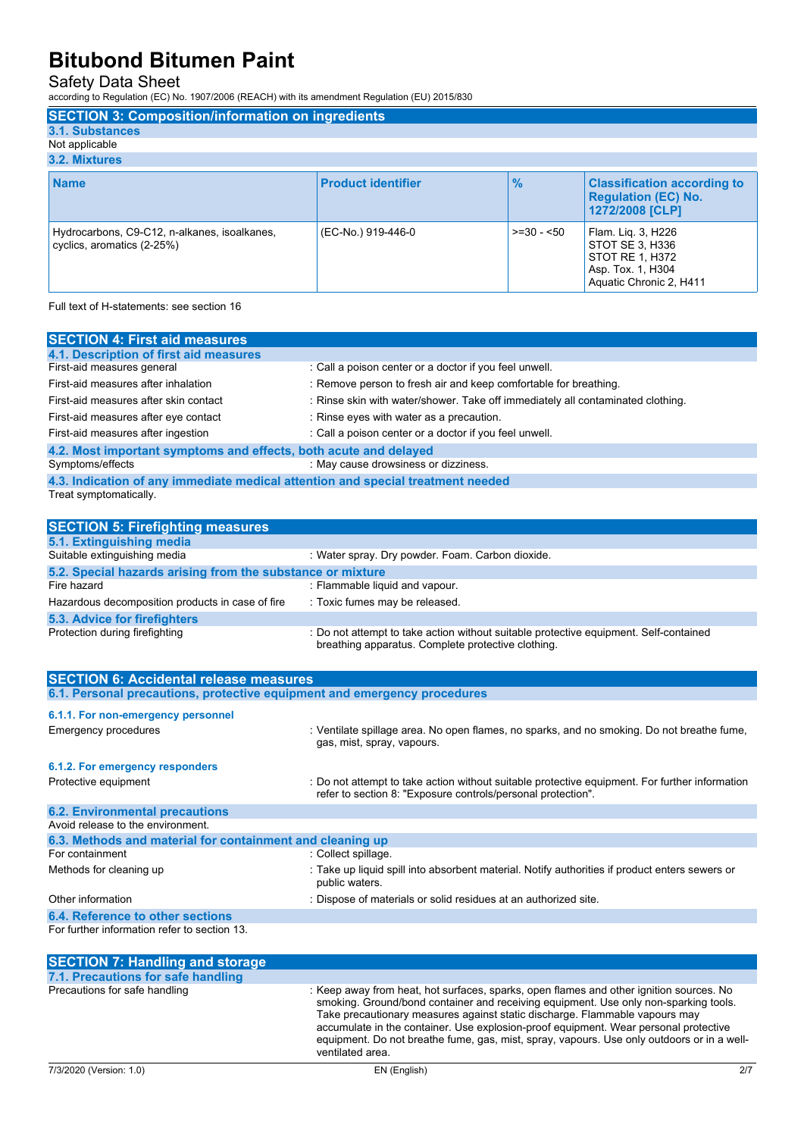Safety Data Sheet

according to Regulation (EC) No. 1907/2006 (REACH) with its amendment Regulation (EU) 2015/830

| <b>SECTION 3: Composition/information on ingredients</b>                   |                           |               |                                                                                                          |
|----------------------------------------------------------------------------|---------------------------|---------------|----------------------------------------------------------------------------------------------------------|
| 3.1. Substances                                                            |                           |               |                                                                                                          |
| Not applicable                                                             |                           |               |                                                                                                          |
| 3.2. Mixtures                                                              |                           |               |                                                                                                          |
| <b>Name</b>                                                                | <b>Product identifier</b> | $\frac{9}{6}$ | <b>Classification according to</b><br><b>Regulation (EC) No.</b><br>1272/2008 [CLP]                      |
| Hydrocarbons, C9-C12, n-alkanes, isoalkanes,<br>cyclics, aromatics (2-25%) | (EC-No.) 919-446-0        | $>=30 - 50$   | Flam. Lig. 3, H226<br>STOT SE 3. H336<br>STOT RE 1, H372<br>Asp. Tox. 1, H304<br>Aquatic Chronic 2, H411 |

Full text of H-statements: see section 16

| <b>SECTION 4: First aid measures</b>                                            |                                                                                 |  |
|---------------------------------------------------------------------------------|---------------------------------------------------------------------------------|--|
| 4.1. Description of first aid measures                                          |                                                                                 |  |
| First-aid measures general                                                      | : Call a poison center or a doctor if you feel unwell.                          |  |
| First-aid measures after inhalation                                             | : Remove person to fresh air and keep comfortable for breathing.                |  |
| First-aid measures after skin contact                                           | : Rinse skin with water/shower. Take off immediately all contaminated clothing. |  |
| First-aid measures after eye contact                                            | : Rinse eyes with water as a precaution.                                        |  |
| First-aid measures after ingestion                                              | : Call a poison center or a doctor if you feel unwell.                          |  |
| 4.2. Most important symptoms and effects, both acute and delayed                |                                                                                 |  |
| Symptoms/effects                                                                | : May cause drowsiness or dizziness.                                            |  |
| 4.3. Indication of any immediate medical attention and special treatment needed |                                                                                 |  |
| Treat symptomatically.                                                          |                                                                                 |  |
|                                                                                 |                                                                                 |  |
| <b>SECTION 5: Firefighting measures</b>                                         |                                                                                 |  |

| : Water spray. Dry powder. Foam. Carbon dioxide.                                                                                            |  |  |
|---------------------------------------------------------------------------------------------------------------------------------------------|--|--|
| 5.2. Special hazards arising from the substance or mixture                                                                                  |  |  |
| : Flammable liquid and vapour.                                                                                                              |  |  |
| : Toxic fumes may be released.                                                                                                              |  |  |
|                                                                                                                                             |  |  |
| : Do not attempt to take action without suitable protective equipment. Self-contained<br>breathing apparatus. Complete protective clothing. |  |  |
|                                                                                                                                             |  |  |

| <b>SECTION 6: Accidental release measures</b>                            |                                                                                                                                                                |  |
|--------------------------------------------------------------------------|----------------------------------------------------------------------------------------------------------------------------------------------------------------|--|
| 6.1. Personal precautions, protective equipment and emergency procedures |                                                                                                                                                                |  |
| 6.1.1. For non-emergency personnel                                       |                                                                                                                                                                |  |
| <b>Emergency procedures</b>                                              | : Ventilate spillage area. No open flames, no sparks, and no smoking. Do not breathe fume,<br>gas, mist, spray, vapours.                                       |  |
| 6.1.2. For emergency responders                                          |                                                                                                                                                                |  |
| Protective equipment                                                     | : Do not attempt to take action without suitable protective equipment. For further information<br>refer to section 8: "Exposure controls/personal protection". |  |
| <b>6.2. Environmental precautions</b>                                    |                                                                                                                                                                |  |
| Avoid release to the environment.                                        |                                                                                                                                                                |  |
| 6.3. Methods and material for containment and cleaning up                |                                                                                                                                                                |  |
| For containment                                                          | : Collect spillage.                                                                                                                                            |  |
| Methods for cleaning up                                                  | : Take up liquid spill into absorbent material. Notify authorities if product enters sewers or<br>public waters.                                               |  |
| Other information                                                        | : Dispose of materials or solid residues at an authorized site.                                                                                                |  |
| 6.4. Reference to other sections                                         |                                                                                                                                                                |  |
| For further information refer to section 13.                             |                                                                                                                                                                |  |

| <b>SECTION 7: Handling and storage</b> |                                                                                                                                                                                                                                                                                                                                                                                                                                                                          |
|----------------------------------------|--------------------------------------------------------------------------------------------------------------------------------------------------------------------------------------------------------------------------------------------------------------------------------------------------------------------------------------------------------------------------------------------------------------------------------------------------------------------------|
| 7.1. Precautions for safe handling     |                                                                                                                                                                                                                                                                                                                                                                                                                                                                          |
| Precautions for safe handling          | : Keep away from heat, hot surfaces, sparks, open flames and other ignition sources. No<br>smoking. Ground/bond container and receiving equipment. Use only non-sparking tools.<br>Take precautionary measures against static discharge. Flammable vapours may<br>accumulate in the container. Use explosion-proof equipment. Wear personal protective<br>equipment. Do not breathe fume, gas, mist, spray, vapours. Use only outdoors or in a well-<br>ventilated area. |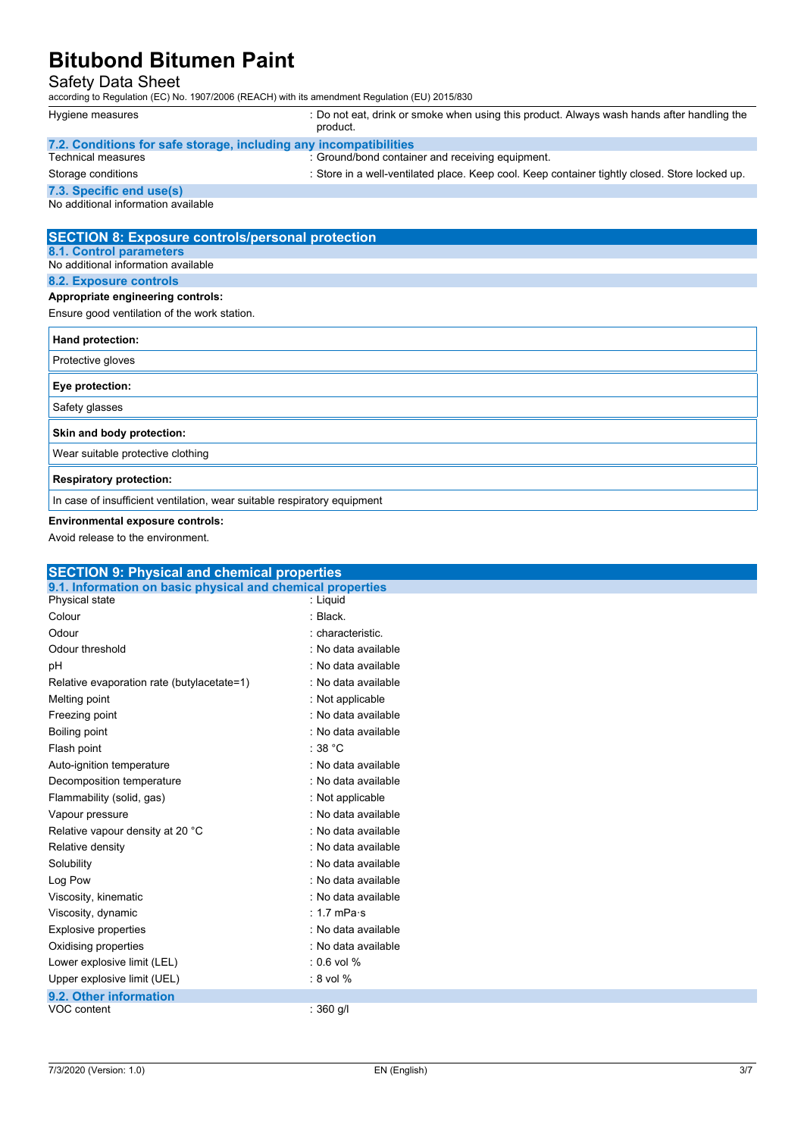### Safety Data Sheet

according to Regulation (EC) No. 1907/2006 (REACH) with its amendment Regulation (EU) 2015/830

| according to Regulation (EC) No. 1907/2006 (REACH) with its amendment Regulation (EU) 2015/830 |                                                                                                        |  |
|------------------------------------------------------------------------------------------------|--------------------------------------------------------------------------------------------------------|--|
| Hygiene measures                                                                               | : Do not eat, drink or smoke when using this product. Always wash hands after handling the<br>product. |  |
| 7.2. Conditions for safe storage, including any incompatibilities                              |                                                                                                        |  |
| <b>Technical measures</b>                                                                      | : Ground/bond container and receiving equipment.                                                       |  |
| Storage conditions                                                                             | : Store in a well-ventilated place. Keep cool. Keep container tightly closed. Store locked up.         |  |
| 7.3. Specific end use(s)                                                                       |                                                                                                        |  |
| No additional information available                                                            |                                                                                                        |  |
| <b>SECTION 8: Exposure controls/personal protection</b>                                        |                                                                                                        |  |
| 8.1. Control parameters                                                                        |                                                                                                        |  |
| No additional information available                                                            |                                                                                                        |  |
| 8.2. Exposure controls                                                                         |                                                                                                        |  |
| Appropriate engineering controls:                                                              |                                                                                                        |  |
| Ensure good ventilation of the work station.                                                   |                                                                                                        |  |
| Hand protection:                                                                               |                                                                                                        |  |
| Protective gloves                                                                              |                                                                                                        |  |
| Eye protection:                                                                                |                                                                                                        |  |
| Safety glasses                                                                                 |                                                                                                        |  |
| Skin and body protection:                                                                      |                                                                                                        |  |
| Wear suitable protective clothing                                                              |                                                                                                        |  |
|                                                                                                |                                                                                                        |  |

**Respiratory protection:**

In case of insufficient ventilation, wear suitable respiratory equipment

**Environmental exposure controls:**

Avoid release to the environment.

| <b>SECTION 9: Physical and chemical properties</b>         |                     |  |
|------------------------------------------------------------|---------------------|--|
| 9.1. Information on basic physical and chemical properties |                     |  |
| Physical state                                             | : Liquid            |  |
| Colour                                                     | : Black.            |  |
| Odour                                                      | : characteristic.   |  |
| Odour threshold                                            | : No data available |  |
| pH                                                         | : No data available |  |
| Relative evaporation rate (butylacetate=1)                 | : No data available |  |
| Melting point                                              | : Not applicable    |  |
| Freezing point                                             | : No data available |  |
| Boiling point                                              | : No data available |  |
| Flash point                                                | : 38 $^{\circ}$ C   |  |
| Auto-ignition temperature                                  | : No data available |  |
| Decomposition temperature                                  | : No data available |  |
| Flammability (solid, gas)                                  | : Not applicable    |  |
| Vapour pressure                                            | : No data available |  |
| Relative vapour density at 20 °C                           | : No data available |  |
| Relative density                                           | : No data available |  |
| Solubility                                                 | : No data available |  |
| Log Pow                                                    | : No data available |  |
| Viscosity, kinematic                                       | : No data available |  |
| Viscosity, dynamic                                         | : 1.7 mPa $\cdot$ s |  |
| <b>Explosive properties</b>                                | : No data available |  |
| Oxidising properties                                       | : No data available |  |
| Lower explosive limit (LEL)                                | $: 0.6$ vol $%$     |  |
| Upper explosive limit (UEL)                                | $: 8$ vol $%$       |  |
| 9.2. Other information                                     |                     |  |
| VOC content                                                | : $360$ g/l         |  |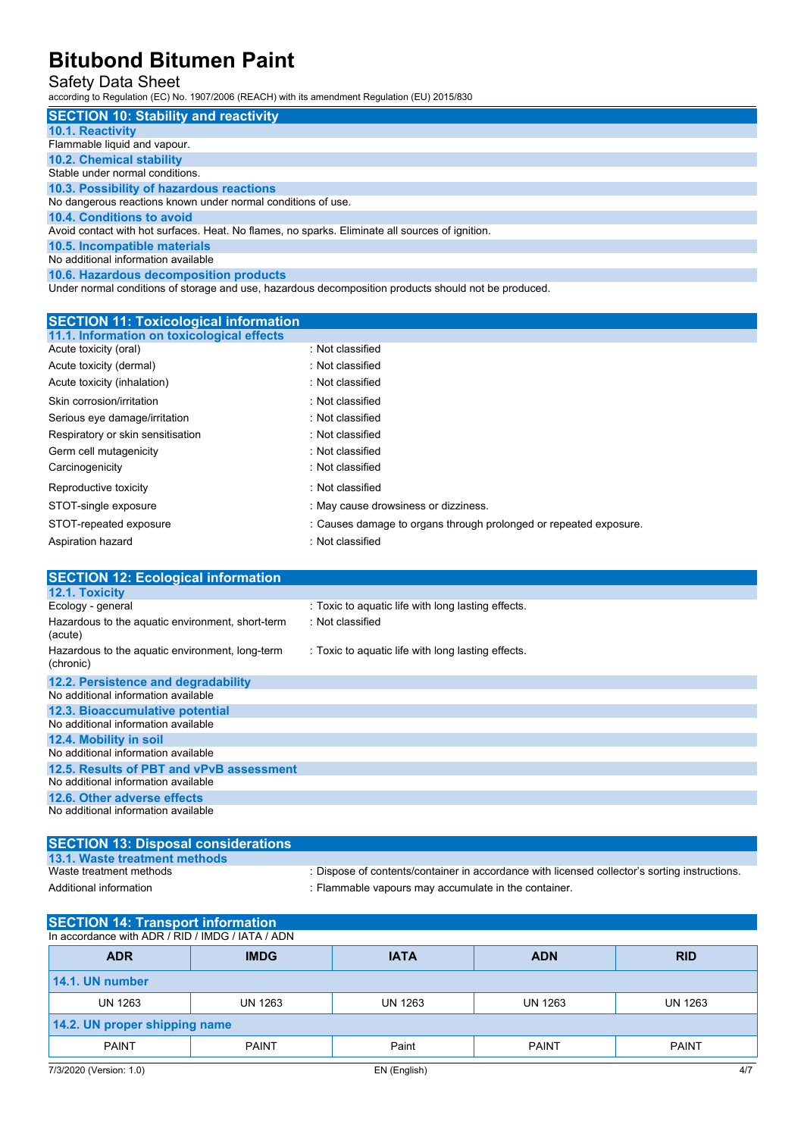#### Safety Data Sheet

according to Regulation (EC) No. 1907/2006 (REACH) with its amendment Regulation (EU) 2015/830

| <b>SECTION 10: Stability and reactivity</b>                                                          |
|------------------------------------------------------------------------------------------------------|
| <b>10.1. Reactivity</b>                                                                              |
| Flammable liquid and vapour.                                                                         |
| <b>10.2. Chemical stability</b>                                                                      |
| Stable under normal conditions.                                                                      |
| 10.3. Possibility of hazardous reactions                                                             |
| No dangerous reactions known under normal conditions of use.                                         |
| 10.4. Conditions to avoid                                                                            |
| Avoid contact with hot surfaces. Heat. No flames, no sparks. Eliminate all sources of ignition.      |
| 10.5. Incompatible materials                                                                         |
| No additional information available                                                                  |
| 10.6. Hazardous decomposition products                                                               |
| Under normal conditions of storage and use, hazardous decomposition products should not be produced. |

| <b>SECTION 11: Toxicological information</b> |                                                                   |
|----------------------------------------------|-------------------------------------------------------------------|
| 11.1. Information on toxicological effects   |                                                                   |
| Acute toxicity (oral)                        | : Not classified                                                  |
| Acute toxicity (dermal)                      | : Not classified                                                  |
| Acute toxicity (inhalation)                  | : Not classified                                                  |
| Skin corrosion/irritation                    | : Not classified                                                  |
| Serious eye damage/irritation                | : Not classified                                                  |
| Respiratory or skin sensitisation            | : Not classified                                                  |
| Germ cell mutagenicity                       | : Not classified                                                  |
| Carcinogenicity                              | : Not classified                                                  |
| Reproductive toxicity                        | : Not classified                                                  |
| STOT-single exposure                         | : May cause drowsiness or dizziness.                              |
| STOT-repeated exposure                       | : Causes damage to organs through prolonged or repeated exposure. |
| Aspiration hazard                            | : Not classified                                                  |

| <b>SECTION 12: Ecological information</b>                    |                                                    |
|--------------------------------------------------------------|----------------------------------------------------|
| <b>12.1. Toxicity</b>                                        |                                                    |
| Ecology - general                                            | : Toxic to aquatic life with long lasting effects. |
| Hazardous to the aquatic environment, short-term<br>(acute)  | : Not classified                                   |
| Hazardous to the aquatic environment, long-term<br>(chronic) | : Toxic to aquatic life with long lasting effects. |
| 12.2. Persistence and degradability                          |                                                    |
| No additional information available                          |                                                    |
| 12.3. Bioaccumulative potential                              |                                                    |
| No additional information available                          |                                                    |
| 12.4. Mobility in soil                                       |                                                    |
| No additional information available                          |                                                    |
| 12.5. Results of PBT and vPvB assessment                     |                                                    |
| No additional information available                          |                                                    |
| 12.6. Other adverse effects                                  |                                                    |
| No additional information available                          |                                                    |

| <b>SECTION 13: Disposal considerations</b> |                                                                                              |
|--------------------------------------------|----------------------------------------------------------------------------------------------|
| 13.1. Waste treatment methods              |                                                                                              |
| Waste treatment methods                    | : Dispose of contents/container in accordance with licensed collector's sorting instructions |
| Additional information                     | : Flammable vapours may accumulate in the container.                                         |

| <b>SECTION 14: Transport information</b>         |              |              |                |              |  |
|--------------------------------------------------|--------------|--------------|----------------|--------------|--|
| In accordance with ADR / RID / IMDG / IATA / ADN |              |              |                |              |  |
| <b>ADR</b>                                       | <b>IMDG</b>  | <b>IATA</b>  | <b>ADN</b>     | <b>RID</b>   |  |
| 14.1. UN number                                  |              |              |                |              |  |
| UN 1263                                          | UN 1263      | UN 1263      | <b>UN 1263</b> | UN 1263      |  |
| 14.2. UN proper shipping name                    |              |              |                |              |  |
| <b>PAINT</b>                                     | <b>PAINT</b> | Paint        | <b>PAINT</b>   | <b>PAINT</b> |  |
| 7/3/2020 (Version: 1.0)                          |              | EN (English) |                | 4/7          |  |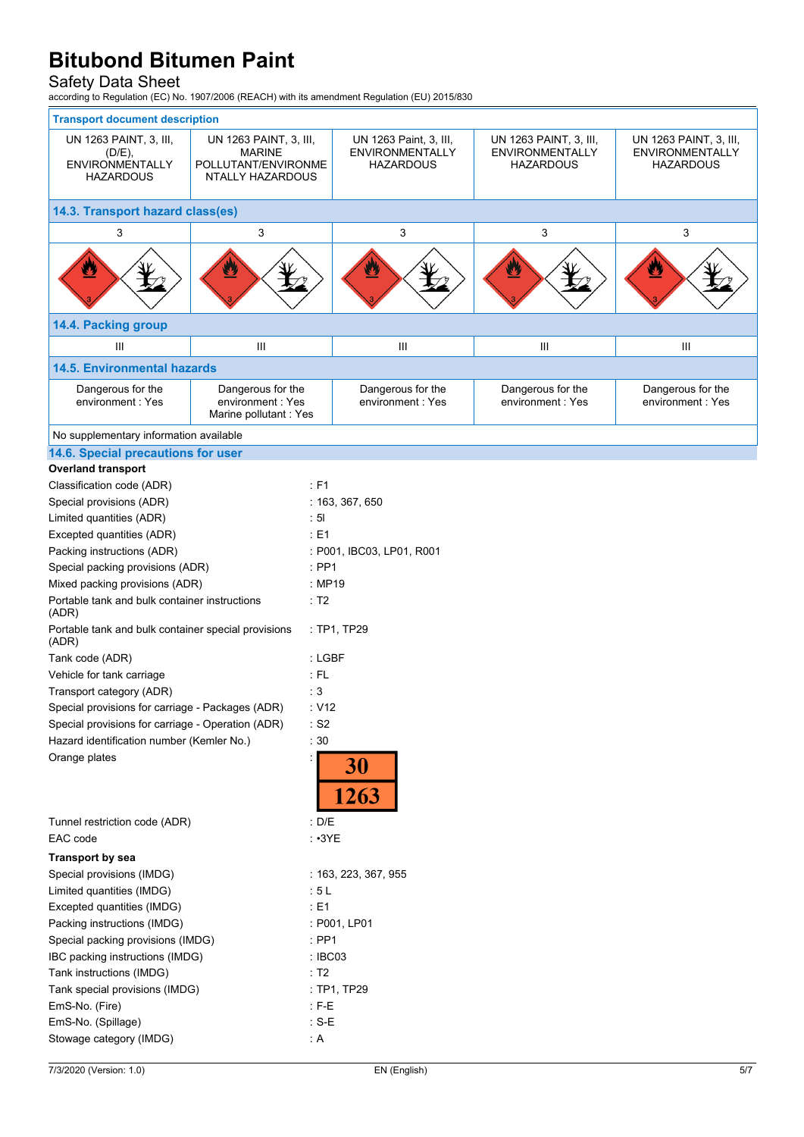#### Safety Data Sheet

according to Regulation (EC) No. 1907/2006 (REACH) with its amendment Regulation (EU) 2015/830

| <b>Transport document description</b>                                                                    |                                                                                           |                           |                                                               |                                                                      |                                                                      |  |  |
|----------------------------------------------------------------------------------------------------------|-------------------------------------------------------------------------------------------|---------------------------|---------------------------------------------------------------|----------------------------------------------------------------------|----------------------------------------------------------------------|--|--|
| UN 1263 PAINT, 3, III,<br>(D/E),<br><b>ENVIRONMENTALLY</b><br><b>HAZARDOUS</b>                           | UN 1263 PAINT, 3, III,<br><b>MARINE</b><br>POLLUTANT/ENVIRONME<br><b>NTALLY HAZARDOUS</b> |                           | UN 1263 Paint, 3, III,<br><b>ENVIRONMENTALLY</b><br>HAZARDOUS | UN 1263 PAINT, 3, III,<br><b>ENVIRONMENTALLY</b><br><b>HAZARDOUS</b> | UN 1263 PAINT, 3, III,<br><b>ENVIRONMENTALLY</b><br><b>HAZARDOUS</b> |  |  |
| 14.3. Transport hazard class(es)                                                                         |                                                                                           |                           |                                                               |                                                                      |                                                                      |  |  |
| 3                                                                                                        | 3                                                                                         |                           | 3                                                             | 3                                                                    | 3                                                                    |  |  |
| ♨                                                                                                        | $\mathbf{r}$                                                                              |                           | Ł                                                             |                                                                      | Ø                                                                    |  |  |
| 14.4. Packing group                                                                                      |                                                                                           |                           |                                                               |                                                                      |                                                                      |  |  |
| Ш                                                                                                        | Ш                                                                                         |                           | Ш                                                             | Ш                                                                    | Ш                                                                    |  |  |
| <b>14.5. Environmental hazards</b>                                                                       |                                                                                           |                           |                                                               |                                                                      |                                                                      |  |  |
| Dangerous for the<br>Dangerous for the<br>environment: Yes<br>environment: Yes<br>Marine pollutant : Yes |                                                                                           |                           | Dangerous for the<br>environment: Yes                         | Dangerous for the<br>environment: Yes                                | Dangerous for the<br>environment: Yes                                |  |  |
| No supplementary information available                                                                   |                                                                                           |                           |                                                               |                                                                      |                                                                      |  |  |
| 14.6. Special precautions for user                                                                       |                                                                                           |                           |                                                               |                                                                      |                                                                      |  |  |
| <b>Overland transport</b>                                                                                |                                                                                           |                           |                                                               |                                                                      |                                                                      |  |  |
| Classification code (ADR)                                                                                |                                                                                           | : F1                      |                                                               |                                                                      |                                                                      |  |  |
| Special provisions (ADR)                                                                                 |                                                                                           |                           | : 163, 367, 650                                               |                                                                      |                                                                      |  |  |
| Limited quantities (ADR)                                                                                 |                                                                                           | : 51                      |                                                               |                                                                      |                                                                      |  |  |
| Excepted quantities (ADR)                                                                                |                                                                                           | : E1                      |                                                               |                                                                      |                                                                      |  |  |
| Packing instructions (ADR)                                                                               |                                                                                           | : P001, IBC03, LP01, R001 |                                                               |                                                                      |                                                                      |  |  |
| Special packing provisions (ADR)                                                                         |                                                                                           | $:$ PP1                   |                                                               |                                                                      |                                                                      |  |  |
| Mixed packing provisions (ADR)                                                                           |                                                                                           | : MP19                    |                                                               |                                                                      |                                                                      |  |  |
| Portable tank and bulk container instructions<br>(ADR)                                                   |                                                                                           | : T2                      |                                                               |                                                                      |                                                                      |  |  |
| Portable tank and bulk container special provisions<br>(ADR)                                             |                                                                                           | : TP1, TP29               |                                                               |                                                                      |                                                                      |  |  |
| Tank code (ADR)                                                                                          |                                                                                           | : LGBF                    |                                                               |                                                                      |                                                                      |  |  |
| Vehicle for tank carriage                                                                                |                                                                                           | $:$ FL                    |                                                               |                                                                      |                                                                      |  |  |
| Transport category (ADR)                                                                                 |                                                                                           | : 3                       |                                                               |                                                                      |                                                                      |  |  |
| Special provisions for carriage - Packages (ADR)                                                         |                                                                                           |                           | : V12                                                         |                                                                      |                                                                      |  |  |
| Special provisions for carriage - Operation (ADR)                                                        |                                                                                           | $\cdot$ S2                |                                                               |                                                                      |                                                                      |  |  |
| Hazard identification number (Kemler No.)                                                                |                                                                                           | :30                       |                                                               |                                                                      |                                                                      |  |  |
| Orange plates                                                                                            |                                                                                           | 30<br>1263                |                                                               |                                                                      |                                                                      |  |  |
| Tunnel restriction code (ADR)                                                                            |                                                                                           | : D/E                     |                                                               |                                                                      |                                                                      |  |  |
| EAC code                                                                                                 |                                                                                           | $: \cdot 3YE$             |                                                               |                                                                      |                                                                      |  |  |
| Transport by sea                                                                                         |                                                                                           |                           |                                                               |                                                                      |                                                                      |  |  |
| Special provisions (IMDG)                                                                                |                                                                                           | : 163, 223, 367, 955      |                                                               |                                                                      |                                                                      |  |  |
| Limited quantities (IMDG)                                                                                |                                                                                           | :5L                       |                                                               |                                                                      |                                                                      |  |  |
| Excepted quantities (IMDG)                                                                               |                                                                                           | : E1                      |                                                               |                                                                      |                                                                      |  |  |
| Packing instructions (IMDG)                                                                              |                                                                                           |                           | : P001, LP01                                                  |                                                                      |                                                                      |  |  |
| Special packing provisions (IMDG)                                                                        |                                                                                           |                           | $:$ PP1                                                       |                                                                      |                                                                      |  |  |
| IBC packing instructions (IMDG)                                                                          |                                                                                           | : IBC03                   |                                                               |                                                                      |                                                                      |  |  |
| Tank instructions (IMDG)                                                                                 |                                                                                           | : T2                      |                                                               |                                                                      |                                                                      |  |  |
| Tank special provisions (IMDG)                                                                           |                                                                                           |                           | : TP1, TP29                                                   |                                                                      |                                                                      |  |  |
| EmS-No. (Fire)                                                                                           |                                                                                           | $E - E$                   |                                                               |                                                                      |                                                                      |  |  |
| EmS-No. (Spillage)                                                                                       |                                                                                           | : $S-E$                   |                                                               |                                                                      |                                                                      |  |  |
| Stowage category (IMDG)                                                                                  |                                                                                           | : A                       |                                                               |                                                                      |                                                                      |  |  |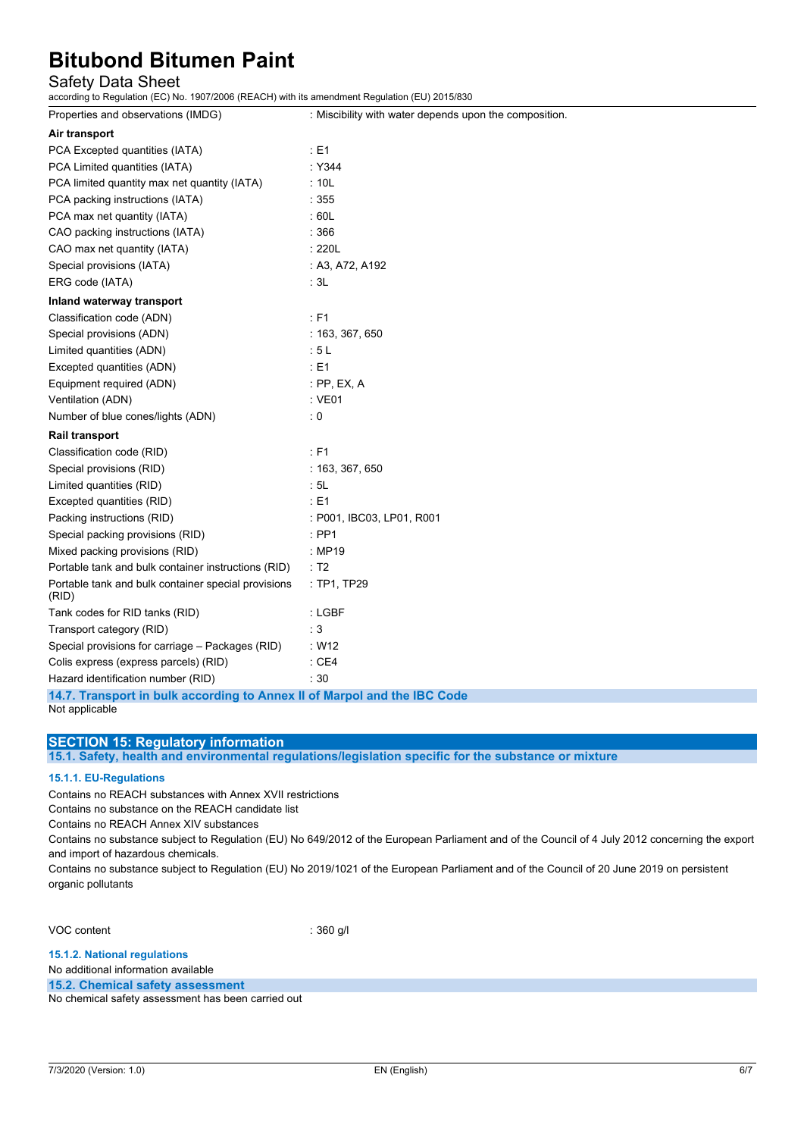### Safety Data Sheet

according to Regulation (EC) No. 1907/2006 (REACH) with its amendment Regulation (EU) 2015/830

| Properties and observations (IMDG)                           | : Miscibility with water depends upon the composition. |  |  |
|--------------------------------------------------------------|--------------------------------------------------------|--|--|
| Air transport                                                |                                                        |  |  |
| PCA Excepted quantities (IATA)                               | $\div$ E1                                              |  |  |
| PCA Limited quantities (IATA)                                | :Y344                                                  |  |  |
| PCA limited quantity max net quantity (IATA)                 | : 10L                                                  |  |  |
| PCA packing instructions (IATA)                              | :355                                                   |  |  |
| PCA max net quantity (IATA)                                  | :60L                                                   |  |  |
| CAO packing instructions (IATA)                              | :366                                                   |  |  |
| CAO max net quantity (IATA)                                  | :220L                                                  |  |  |
| Special provisions (IATA)                                    | : A3, A72, A192                                        |  |  |
| ERG code (IATA)                                              | : 3L                                                   |  |  |
| Inland waterway transport                                    |                                                        |  |  |
| Classification code (ADN)                                    | $E = 51$                                               |  |  |
| Special provisions (ADN)                                     | : 163, 367, 650                                        |  |  |
| Limited quantities (ADN)                                     | : 5L                                                   |  |  |
| Excepted quantities (ADN)                                    | E1                                                     |  |  |
| Equipment required (ADN)                                     | $:$ PP, EX, A                                          |  |  |
| Ventilation (ADN)                                            | $:$ VE01                                               |  |  |
| Number of blue cones/lights (ADN)                            | $\cdot 0$                                              |  |  |
| Rail transport                                               |                                                        |  |  |
| Classification code (RID)                                    | $E = 51$                                               |  |  |
| Special provisions (RID)                                     | : 163, 367, 650                                        |  |  |
| Limited quantities (RID)                                     | : 5L                                                   |  |  |
| Excepted quantities (RID)                                    | E1                                                     |  |  |
| Packing instructions (RID)                                   | : P001, IBC03, LP01, R001                              |  |  |
| Special packing provisions (RID)                             | $:$ PP1                                                |  |  |
| Mixed packing provisions (RID)                               | : MP19                                                 |  |  |
| Portable tank and bulk container instructions (RID)          | $\therefore$ T2                                        |  |  |
| Portable tank and bulk container special provisions<br>(RID) | : TP1, TP29                                            |  |  |
| Tank codes for RID tanks (RID)                               | : LGBF                                                 |  |  |
| Transport category (RID)                                     | : 3                                                    |  |  |
| Special provisions for carriage - Packages (RID)             | : W12                                                  |  |  |
| Colis express (express parcels) (RID)                        | $\therefore$ CE4                                       |  |  |
| Hazard identification number (RID)                           | :30                                                    |  |  |

**14.7. Transport in bulk according to Annex II of Marpol and the IBC Code** Not applicable

#### **SECTION 15: Regulatory information**

**15.1. Safety, health and environmental regulations/legislation specific for the substance or mixture**

#### **15.1.1. EU-Regulations**

Contains no REACH substances with Annex XVII restrictions

Contains no substance on the REACH candidate list

Contains no REACH Annex XIV substances

Contains no substance subject to Regulation (EU) No 649/2012 of the European Parliament and of the Council of 4 July 2012 concerning the export and import of hazardous chemicals.

Contains no substance subject to Regulation (EU) No 2019/1021 of the European Parliament and of the Council of 20 June 2019 on persistent organic pollutants

VOC content : 360 g/l

**15.1.2. National regulations**

### No additional information available

**15.2. Chemical safety assessment**

No chemical safety assessment has been carried out